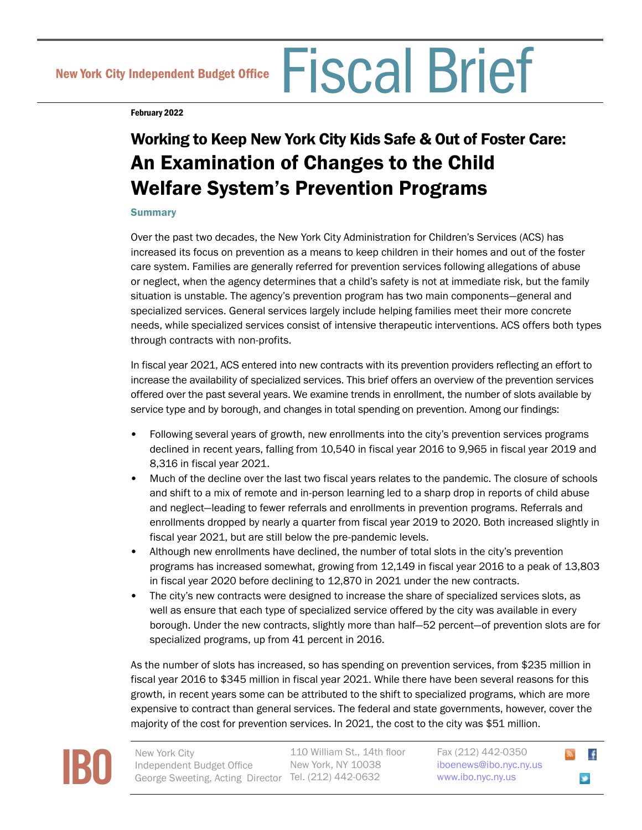New York City Independent Budget Office Fiscal Brief

February 2022

# Working to Keep New York City Kids Safe & Out of Foster Care: An Examination of Changes to the Child Welfare System's Prevention Programs

## **Summary**

Over the past two decades, the New York City Administration for Children's Services (ACS) has increased its focus on prevention as a means to keep children in their homes and out of the foster care system. Families are generally referred for prevention services following allegations of abuse or neglect, when the agency determines that a child's safety is not at immediate risk, but the family situation is unstable. The agency's prevention program has two main components—general and specialized services. General services largely include helping families meet their more concrete needs, while specialized services consist of intensive therapeutic interventions. ACS offers both types through contracts with non-profits.

In fiscal year 2021, ACS entered into new contracts with its prevention providers reflecting an effort to increase the availability of specialized services. This brief offers an overview of the prevention services offered over the past several years. We examine trends in enrollment, the number of slots available by service type and by borough, and changes in total spending on prevention. Among our findings:

- Following several years of growth, new enrollments into the city's prevention services programs declined in recent years, falling from 10,540 in fiscal year 2016 to 9,965 in fiscal year 2019 and 8,316 in fiscal year 2021.
- Much of the decline over the last two fiscal years relates to the pandemic. The closure of schools and shift to a mix of remote and in-person learning led to a sharp drop in reports of child abuse and neglect—leading to fewer referrals and enrollments in prevention programs. Referrals and enrollments dropped by nearly a quarter from fiscal year 2019 to 2020. Both increased slightly in fiscal year 2021, but are still below the pre-pandemic levels.
- Although new enrollments have declined, the number of total slots in the city's prevention programs has increased somewhat, growing from 12,149 in fiscal year 2016 to a peak of 13,803 in fiscal year 2020 before declining to 12,870 in 2021 under the new contracts.
- The city's new contracts were designed to increase the share of specialized services slots, as well as ensure that each type of specialized service offered by the city was available in every borough. Under the new contracts, slightly more than half—52 percent—of prevention slots are for specialized programs, up from 41 percent in 2016.

As the number of slots has increased, so has spending on prevention services, from \$235 million in fiscal year 2016 to \$345 million in fiscal year 2021. While there have been several reasons for this growth, in recent years some can be attributed to the shift to specialized programs, which are more expensive to contract than general services. The federal and state governments, however, cover the majority of the cost for prevention services. In 2021, the cost to the city was \$51 million.



110 William St., 14th floor New York, NY 10038



 $\mathbf{f}$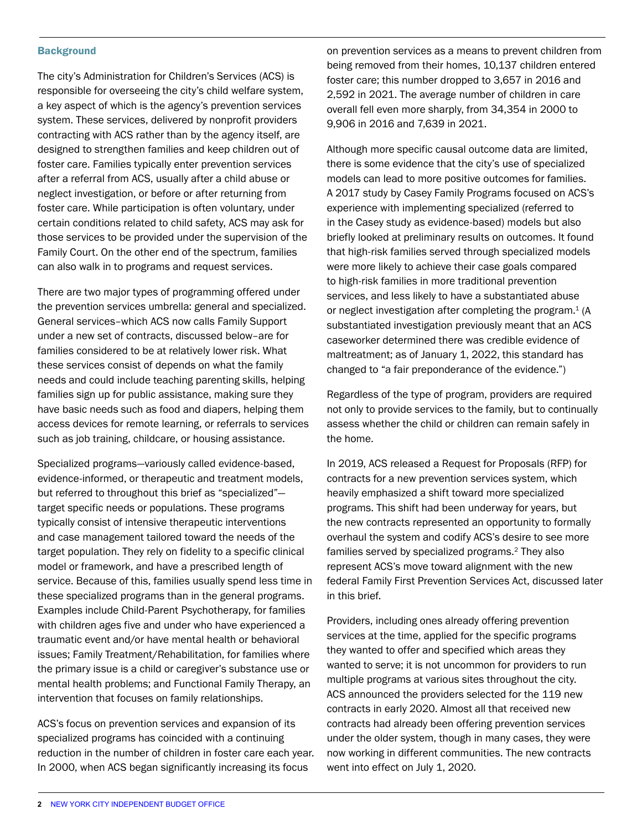#### **Background**

The city's Administration for Children's Services (ACS) is responsible for overseeing the city's child welfare system, a key aspect of which is the agency's prevention services system. These services, delivered by nonprofit providers contracting with ACS rather than by the agency itself, are designed to strengthen families and keep children out of foster care. Families typically enter prevention services after a referral from ACS, usually after a child abuse or neglect investigation, or before or after returning from foster care. While participation is often voluntary, under certain conditions related to child safety, ACS may ask for those services to be provided under the supervision of the Family Court. On the other end of the spectrum, families can also walk in to programs and request services.

There are two major types of programming offered under the prevention services umbrella: general and specialized. General services–which ACS now calls Family Support under a new set of contracts, discussed below–are for families considered to be at relatively lower risk. What these services consist of depends on what the family needs and could include teaching parenting skills, helping families sign up for public assistance, making sure they have basic needs such as food and diapers, helping them access devices for remote learning, or referrals to services such as job training, childcare, or housing assistance.

Specialized programs—variously called evidence-based, evidence-informed, or therapeutic and treatment models, but referred to throughout this brief as "specialized" target specific needs or populations. These programs typically consist of intensive therapeutic interventions and case management tailored toward the needs of the target population. They rely on fidelity to a specific clinical model or framework, and have a prescribed length of service. Because of this, families usually spend less time in these specialized programs than in the general programs. Examples include Child-Parent Psychotherapy, for families with children ages five and under who have experienced a traumatic event and/or have mental health or behavioral issues; Family Treatment/Rehabilitation, for families where the primary issue is a child or caregiver's substance use or mental health problems; and Functional Family Therapy, an intervention that focuses on family relationships.

ACS's focus on prevention services and expansion of its specialized programs has coincided with a continuing reduction in the number of children in foster care each year. In 2000, when ACS began significantly increasing its focus

on prevention services as a means to prevent children from being removed from their homes, 10,137 children entered foster care; this number dropped to 3,657 in 2016 and 2,592 in 2021. The average number of children in care overall fell even more sharply, from 34,354 in 2000 to 9,906 in 2016 and 7,639 in 2021.

Although more specific causal outcome data are limited, there is some evidence that the city's use of specialized models can lead to more positive outcomes for families. A 2017 study by Casey Family Programs focused on ACS's experience with implementing specialized (referred to in the Casey study as evidence-based) models but also briefly looked at preliminary results on outcomes. It found that high-risk families served through specialized models were more likely to achieve their case goals compared to high-risk families in more traditional prevention services, and less likely to have a substantiated abuse or neglect investigation after completing the program.<sup>1</sup> (A substantiated investigation previously meant that an ACS caseworker determined there was credible evidence of maltreatment; as of January 1, 2022, this standard has changed to "a fair preponderance of the evidence.")

Regardless of the type of program, providers are required not only to provide services to the family, but to continually assess whether the child or children can remain safely in the home.

In 2019, ACS released a Request for Proposals (RFP) for contracts for a new prevention services system, which heavily emphasized a shift toward more specialized programs. This shift had been underway for years, but the new contracts represented an opportunity to formally overhaul the system and codify ACS's desire to see more families served by specialized programs.2 They also represent ACS's move toward alignment with the new federal Family First Prevention Services Act, discussed later in this brief.

Providers, including ones already offering prevention services at the time, applied for the specific programs they wanted to offer and specified which areas they wanted to serve; it is not uncommon for providers to run multiple programs at various sites throughout the city. ACS announced the providers selected for the 119 new contracts in early 2020. Almost all that received new contracts had already been offering prevention services under the older system, though in many cases, they were now working in different communities. The new contracts went into effect on July 1, 2020.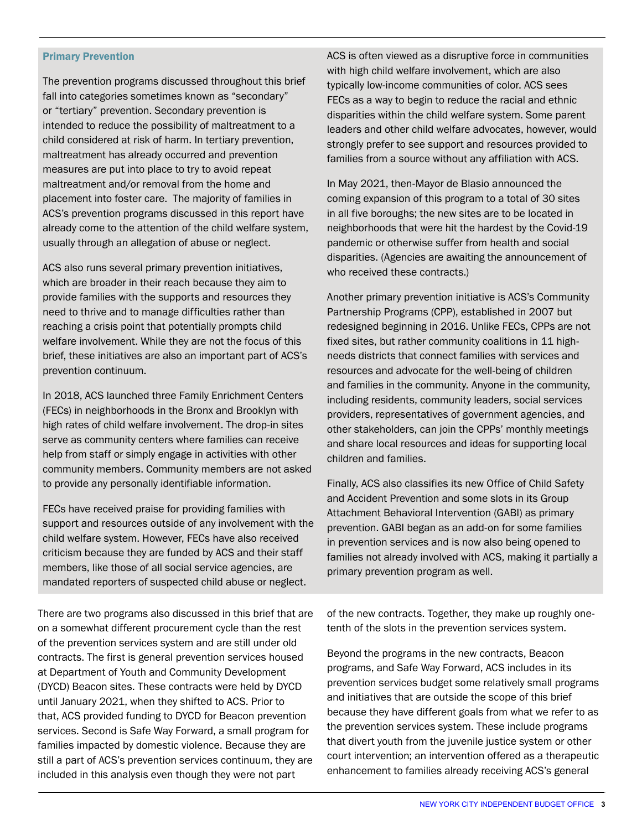#### Primary Prevention

The prevention programs discussed throughout this brief fall into categories sometimes known as "secondary" or "tertiary" prevention. Secondary prevention is intended to reduce the possibility of maltreatment to a child considered at risk of harm. In tertiary prevention, maltreatment has already occurred and prevention measures are put into place to try to avoid repeat maltreatment and/or removal from the home and placement into foster care. The majority of families in ACS's prevention programs discussed in this report have already come to the attention of the child welfare system, usually through an allegation of abuse or neglect.

ACS also runs several primary prevention initiatives, which are broader in their reach because they aim to provide families with the supports and resources they need to thrive and to manage difficulties rather than reaching a crisis point that potentially prompts child welfare involvement. While they are not the focus of this brief, these initiatives are also an important part of ACS's prevention continuum.

In 2018, ACS launched three Family Enrichment Centers (FECs) in neighborhoods in the Bronx and Brooklyn with high rates of child welfare involvement. The drop-in sites serve as community centers where families can receive help from staff or simply engage in activities with other community members. Community members are not asked to provide any personally identifiable information.

FECs have received praise for providing families with support and resources outside of any involvement with the child welfare system. However, FECs have also received criticism because they are funded by ACS and their staff members, like those of all social service agencies, are mandated reporters of suspected child abuse or neglect.

There are two programs also discussed in this brief that are on a somewhat different procurement cycle than the rest of the prevention services system and are still under old contracts. The first is general prevention services housed at Department of Youth and Community Development (DYCD) Beacon sites. These contracts were held by DYCD until January 2021, when they shifted to ACS. Prior to that, ACS provided funding to DYCD for Beacon prevention services. Second is Safe Way Forward, a small program for families impacted by domestic violence. Because they are still a part of ACS's prevention services continuum, they are included in this analysis even though they were not part

ACS is often viewed as a disruptive force in communities with high child welfare involvement, which are also typically low-income communities of color. ACS sees FECs as a way to begin to reduce the racial and ethnic disparities within the child welfare system. Some parent leaders and other child welfare advocates, however, would strongly prefer to see support and resources provided to families from a source without any affiliation with ACS.

In May 2021, then-Mayor de Blasio announced the coming expansion of this program to a total of 30 sites in all five boroughs; the new sites are to be located in neighborhoods that were hit the hardest by the Covid-19 pandemic or otherwise suffer from health and social disparities. (Agencies are awaiting the announcement of who received these contracts.)

Another primary prevention initiative is ACS's Community Partnership Programs (CPP), established in 2007 but redesigned beginning in 2016. Unlike FECs, CPPs are not fixed sites, but rather community coalitions in 11 highneeds districts that connect families with services and resources and advocate for the well-being of children and families in the community. Anyone in the community, including residents, community leaders, social services providers, representatives of government agencies, and other stakeholders, can join the CPPs' monthly meetings and share local resources and ideas for supporting local children and families.

Finally, ACS also classifies its new Office of Child Safety and Accident Prevention and some slots in its Group Attachment Behavioral Intervention (GABI) as primary prevention. GABI began as an add-on for some families in prevention services and is now also being opened to families not already involved with ACS, making it partially a primary prevention program as well.

of the new contracts. Together, they make up roughly onetenth of the slots in the prevention services system.

Beyond the programs in the new contracts, Beacon programs, and Safe Way Forward, ACS includes in its prevention services budget some relatively small programs and initiatives that are outside the scope of this brief because they have different goals from what we refer to as the prevention services system. These include programs that divert youth from the juvenile justice system or other court intervention; an intervention offered as a therapeutic enhancement to families already receiving ACS's general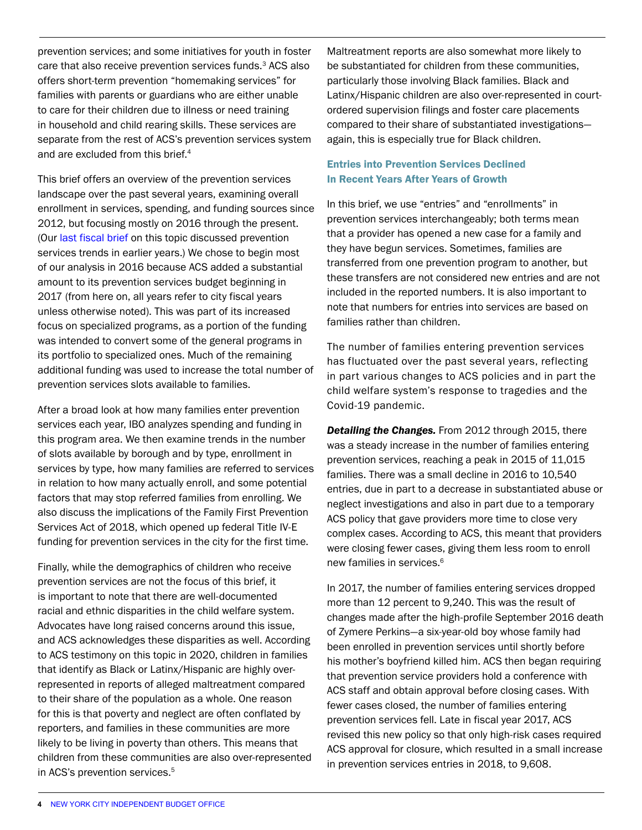prevention services; and some initiatives for youth in foster care that also receive prevention services funds.<sup>3</sup> ACS also offers short-term prevention "homemaking services" for families with parents or guardians who are either unable to care for their children due to illness or need training in household and child rearing skills. These services are separate from the rest of ACS's prevention services system and are excluded from this brief.<sup>4</sup>

This brief offers an overview of the prevention services landscape over the past several years, examining overall enrollment in services, spending, and funding sources since 2012, but focusing mostly on 2016 through the present. (Our [last fiscal brief](https://ibo.nyc.ny.us/iboreports/childwelfare101211.pdf) on this topic discussed prevention services trends in earlier years.) We chose to begin most of our analysis in 2016 because ACS added a substantial amount to its prevention services budget beginning in 2017 (from here on, all years refer to city fiscal years unless otherwise noted). This was part of its increased focus on specialized programs, as a portion of the funding was intended to convert some of the general programs in its portfolio to specialized ones. Much of the remaining additional funding was used to increase the total number of prevention services slots available to families.

After a broad look at how many families enter prevention services each year, IBO analyzes spending and funding in this program area. We then examine trends in the number of slots available by borough and by type, enrollment in services by type, how many families are referred to services in relation to how many actually enroll, and some potential factors that may stop referred families from enrolling. We also discuss the implications of the Family First Prevention Services Act of 2018, which opened up federal Title IV-E funding for prevention services in the city for the first time.

Finally, while the demographics of children who receive prevention services are not the focus of this brief, it is important to note that there are well-documented racial and ethnic disparities in the child welfare system. Advocates have long raised concerns around this issue, and ACS acknowledges these disparities as well. According to ACS testimony on this topic in 2020, children in families that identify as Black or Latinx/Hispanic are highly overrepresented in reports of alleged maltreatment compared to their share of the population as a whole. One reason for this is that poverty and neglect are often conflated by reporters, and families in these communities are more likely to be living in poverty than others. This means that children from these communities are also over-represented in ACS's prevention services.<sup>5</sup>

Maltreatment reports are also somewhat more likely to be substantiated for children from these communities, particularly those involving Black families. Black and Latinx/Hispanic children are also over-represented in courtordered supervision filings and foster care placements compared to their share of substantiated investigations again, this is especially true for Black children.

# Entries into Prevention Services Declined In Recent Years After Years of Growth

In this brief, we use "entries" and "enrollments" in prevention services interchangeably; both terms mean that a provider has opened a new case for a family and they have begun services. Sometimes, families are transferred from one prevention program to another, but these transfers are not considered new entries and are not included in the reported numbers. It is also important to note that numbers for entries into services are based on families rather than children.

The number of families entering prevention services has fluctuated over the past several years, reflecting in part various changes to ACS policies and in part the child welfare system's response to tragedies and the Covid-19 pandemic.

*Detailing the Changes.* From 2012 through 2015, there was a steady increase in the number of families entering prevention services, reaching a peak in 2015 of 11,015 families. There was a small decline in 2016 to 10,540 entries, due in part to a decrease in substantiated abuse or neglect investigations and also in part due to a temporary ACS policy that gave providers more time to close very complex cases. According to ACS, this meant that providers were closing fewer cases, giving them less room to enroll new families in services.<sup>6</sup>

In 2017, the number of families entering services dropped more than 12 percent to 9,240. This was the result of changes made after the high-profile September 2016 death of Zymere Perkins—a six-year-old boy whose family had been enrolled in prevention services until shortly before his mother's boyfriend killed him. ACS then began requiring that prevention service providers hold a conference with ACS staff and obtain approval before closing cases. With fewer cases closed, the number of families entering prevention services fell. Late in fiscal year 2017, ACS revised this new policy so that only high-risk cases required ACS approval for closure, which resulted in a small increase in prevention services entries in 2018, to 9,608.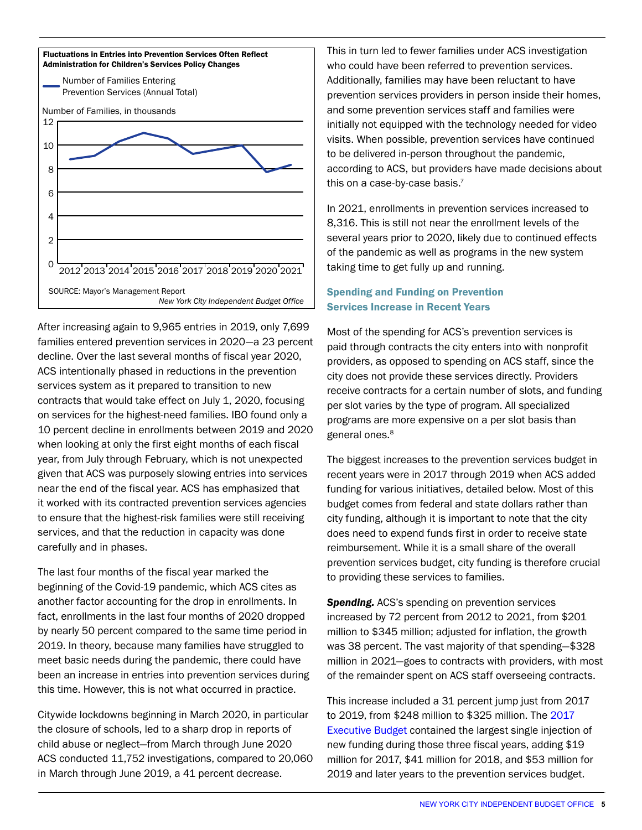

After increasing again to 9,965 entries in 2019, only 7,699 families entered prevention services in 2020—a 23 percent decline. Over the last several months of fiscal year 2020, ACS intentionally phased in reductions in the prevention services system as it prepared to transition to new contracts that would take effect on July 1, 2020, focusing on services for the highest-need families. IBO found only a 10 percent decline in enrollments between 2019 and 2020 when looking at only the first eight months of each fiscal year, from July through February, which is not unexpected given that ACS was purposely slowing entries into services near the end of the fiscal year. ACS has emphasized that it worked with its contracted prevention services agencies to ensure that the highest-risk families were still receiving services, and that the reduction in capacity was done carefully and in phases.

The last four months of the fiscal year marked the beginning of the Covid-19 pandemic, which ACS cites as another factor accounting for the drop in enrollments. In fact, enrollments in the last four months of 2020 dropped by nearly 50 percent compared to the same time period in 2019. In theory, because many families have struggled to meet basic needs during the pandemic, there could have been an increase in entries into prevention services during this time. However, this is not what occurred in practice.

Citywide lockdowns beginning in March 2020, in particular the closure of schools, led to a sharp drop in reports of child abuse or neglect—from March through June 2020 ACS conducted 11,752 investigations, compared to 20,060 in March through June 2019, a 41 percent decrease.

This in turn led to fewer families under ACS investigation who could have been referred to prevention services. Additionally, families may have been reluctant to have prevention services providers in person inside their homes, and some prevention services staff and families were initially not equipped with the technology needed for video visits. When possible, prevention services have continued to be delivered in-person throughout the pandemic, according to ACS, but providers have made decisions about this on a case-by-case basis. $7$ 

In 2021, enrollments in prevention services increased to 8,316. This is still not near the enrollment levels of the several years prior to 2020, likely due to continued effects of the pandemic as well as programs in the new system taking time to get fully up and running.

## Spending and Funding on Prevention Services Increase in Recent Years

Most of the spending for ACS's prevention services is paid through contracts the city enters into with nonprofit providers, as opposed to spending on ACS staff, since the city does not provide these services directly. Providers receive contracts for a certain number of slots, and funding per slot varies by the type of program. All specialized programs are more expensive on a per slot basis than general ones.<sup>8</sup>

The biggest increases to the prevention services budget in recent years were in 2017 through 2019 when ACS added funding for various initiatives, detailed below. Most of this budget comes from federal and state dollars rather than city funding, although it is important to note that the city does need to expend funds first in order to receive state reimbursement. While it is a small share of the overall prevention services budget, city funding is therefore crucial to providing these services to families.

*Spending.* ACS's spending on prevention services increased by 72 percent from 2012 to 2021, from \$201 million to \$345 million; adjusted for inflation, the growth was 38 percent. The vast majority of that spending—\$328 million in 2021—goes to contracts with providers, with most of the remainder spent on ACS staff overseeing contracts.

This increase included a 31 percent jump just from 2017 to 2019, from \$248 million to \$325 million. The 2017 [Executive Budget](https://ibo.nyc.ny.us/iboreports/more-funding-for-child-welfare-mayor-aims-to-expand-enhance-preventive-services-reducing-foster-care-palcements.pdf) contained the largest single injection of new funding during those three fiscal years, adding \$19 million for 2017, \$41 million for 2018, and \$53 million for 2019 and later years to the prevention services budget.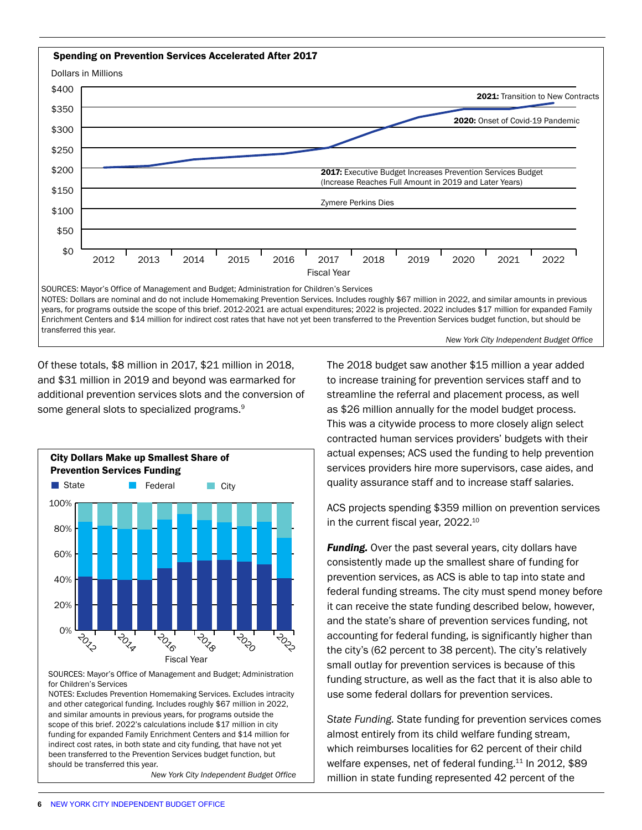

*New York City Independent Budget Office* 

Of these totals, \$8 million in 2017, \$21 million in 2018, and \$31 million in 2019 and beyond was earmarked for additional prevention services slots and the conversion of some general slots to specialized programs.<sup>9</sup>



SOURCES: Mayor's Office of Management and Budget; Administration for Children's Services

NOTES: Excludes Prevention Homemaking Services. Excludes intracity and other categorical funding. Includes roughly \$67 million in 2022, and similar amounts in previous years, for programs outside the scope of this brief. 2022's calculations include \$17 million in city funding for expanded Family Enrichment Centers and \$14 million for indirect cost rates, in both state and city funding, that have not yet been transferred to the Prevention Services budget function, but should be transferred this year.

*New York City Independent Budget Office* 

The 2018 budget saw another \$15 million a year added to increase training for prevention services staff and to streamline the referral and placement process, as well as \$26 million annually for the model budget process. This was a citywide process to more closely align select contracted human services providers' budgets with their actual expenses; ACS used the funding to help prevention services providers hire more supervisors, case aides, and quality assurance staff and to increase staff salaries.

ACS projects spending \$359 million on prevention services in the current fiscal year, 2022.<sup>10</sup>

**Funding.** Over the past several years, city dollars have consistently made up the smallest share of funding for prevention services, as ACS is able to tap into state and federal funding streams. The city must spend money before it can receive the state funding described below, however, and the state's share of prevention services funding, not accounting for federal funding, is significantly higher than the city's (62 percent to 38 percent). The city's relatively small outlay for prevention services is because of this funding structure, as well as the fact that it is also able to use some federal dollars for prevention services.

*State Funding.* State funding for prevention services comes almost entirely from its child welfare funding stream, which reimburses localities for 62 percent of their child welfare expenses, net of federal funding.<sup>11</sup> In 2012, \$89 million in state funding represented 42 percent of the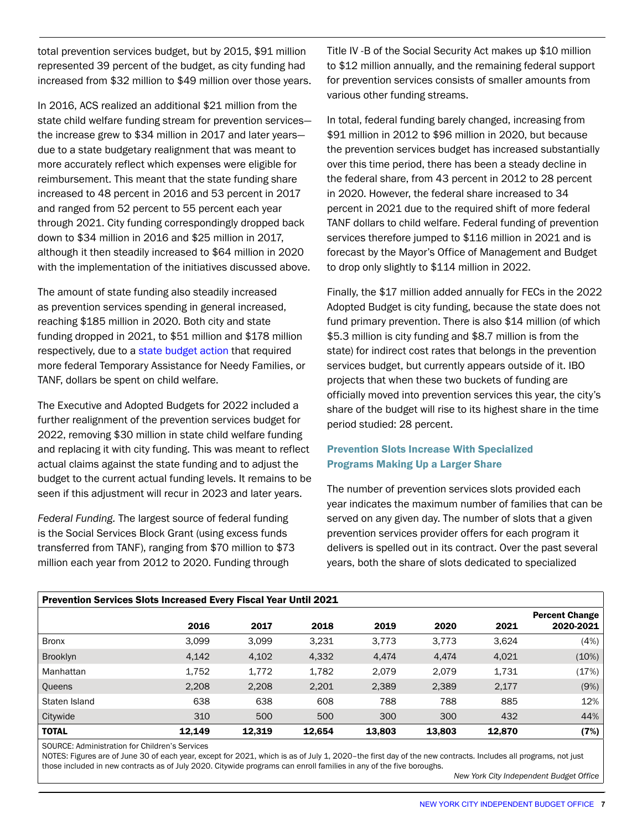total prevention services budget, but by 2015, \$91 million represented 39 percent of the budget, as city funding had increased from \$32 million to \$49 million over those years.

In 2016, ACS realized an additional \$21 million from the state child welfare funding stream for prevention services the increase grew to \$34 million in 2017 and later years due to a state budgetary realignment that was meant to more accurately reflect which expenses were eligible for reimbursement. This meant that the state funding share increased to 48 percent in 2016 and 53 percent in 2017 and ranged from 52 percent to 55 percent each year through 2021. City funding correspondingly dropped back down to \$34 million in 2016 and \$25 million in 2017, although it then steadily increased to \$64 million in 2020 with the implementation of the initiatives discussed above.

The amount of state funding also steadily increased as prevention services spending in general increased, reaching \$185 million in 2020. Both city and state funding dropped in 2021, to \$51 million and \$178 million respectively, due to a [state budget action](https://ibo.nyc.ny.us/iboreports/proposed-state-budget-continues-pattern-of-cuts-to-child-welfare-fopb-march-2020.pdf) that required more federal Temporary Assistance for Needy Families, or TANF, dollars be spent on child welfare.

The Executive and Adopted Budgets for 2022 included a further realignment of the prevention services budget for 2022, removing \$30 million in state child welfare funding and replacing it with city funding. This was meant to reflect actual claims against the state funding and to adjust the budget to the current actual funding levels. It remains to be seen if this adjustment will recur in 2023 and later years.

*Federal Funding.* The largest source of federal funding is the Social Services Block Grant (using excess funds transferred from TANF), ranging from \$70 million to \$73 million each year from 2012 to 2020. Funding through

Title IV -B of the Social Security Act makes up \$10 million to \$12 million annually, and the remaining federal support for prevention services consists of smaller amounts from various other funding streams.

In total, federal funding barely changed, increasing from \$91 million in 2012 to \$96 million in 2020, but because the prevention services budget has increased substantially over this time period, there has been a steady decline in the federal share, from 43 percent in 2012 to 28 percent in 2020. However, the federal share increased to 34 percent in 2021 due to the required shift of more federal TANF dollars to child welfare. Federal funding of prevention services therefore jumped to \$116 million in 2021 and is forecast by the Mayor's Office of Management and Budget to drop only slightly to \$114 million in 2022.

Finally, the \$17 million added annually for FECs in the 2022 Adopted Budget is city funding, because the state does not fund primary prevention. There is also \$14 million (of which \$5.3 million is city funding and \$8.7 million is from the state) for indirect cost rates that belongs in the prevention services budget, but currently appears outside of it. IBO projects that when these two buckets of funding are officially moved into prevention services this year, the city's share of the budget will rise to its highest share in the time period studied: 28 percent.

# Prevention Slots Increase With Specialized Programs Making Up a Larger Share

The number of prevention services slots provided each year indicates the maximum number of families that can be served on any given day. The number of slots that a given prevention services provider offers for each program it delivers is spelled out in its contract. Over the past several years, both the share of slots dedicated to specialized

| <b>Prevention Services Slots Increased Every Fiscal Year Until 2021</b> |        |        |        |        |        |        |                                    |  |  |  |
|-------------------------------------------------------------------------|--------|--------|--------|--------|--------|--------|------------------------------------|--|--|--|
|                                                                         | 2016   | 2017   | 2018   | 2019   | 2020   | 2021   | <b>Percent Change</b><br>2020-2021 |  |  |  |
| <b>Bronx</b>                                                            | 3,099  | 3,099  | 3,231  | 3,773  | 3,773  | 3,624  | (4%)                               |  |  |  |
| <b>Brooklyn</b>                                                         | 4,142  | 4,102  | 4,332  | 4,474  | 4,474  | 4,021  | (10%)                              |  |  |  |
| Manhattan                                                               | 1,752  | 1,772  | 1,782  | 2,079  | 2,079  | 1,731  | (17%)                              |  |  |  |
| Queens                                                                  | 2,208  | 2,208  | 2,201  | 2,389  | 2,389  | 2,177  | (9%)                               |  |  |  |
| Staten Island                                                           | 638    | 638    | 608    | 788    | 788    | 885    | 12%                                |  |  |  |
| Citywide                                                                | 310    | 500    | 500    | 300    | 300    | 432    | 44%                                |  |  |  |
| <b>TOTAL</b>                                                            | 12.149 | 12.319 | 12.654 | 13,803 | 13,803 | 12,870 | (7%)                               |  |  |  |

SOURCE: Administration for Children's Services

NOTES: Figures are of June 30 of each year, except for 2021, which is as of July 1, 2020–the first day of the new contracts. Includes all programs, not just those included in new contracts as of July 2020. Citywide programs can enroll families in any of the five boroughs.

*New York City Independent Budget Office*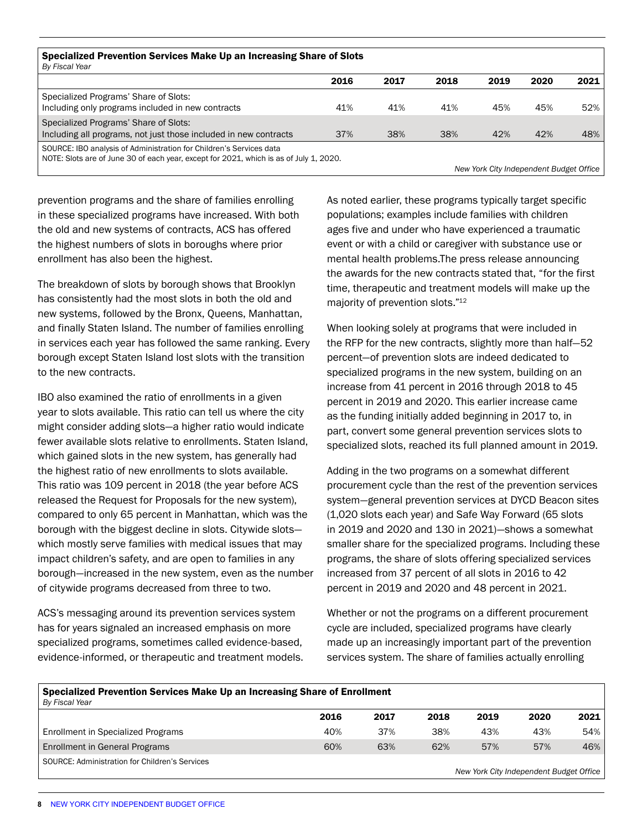| Specialized Prevention Services Make Up an Increasing Share of Slots<br>By Fiscal Year                                                                        |      |      |      |                                         |      |      |  |
|---------------------------------------------------------------------------------------------------------------------------------------------------------------|------|------|------|-----------------------------------------|------|------|--|
|                                                                                                                                                               | 2016 | 2017 | 2018 | 2019                                    | 2020 | 2021 |  |
| Specialized Programs' Share of Slots:<br>Including only programs included in new contracts                                                                    | 41%  | 41%  | 41%  | 45%                                     | 45%  | 52%  |  |
| Specialized Programs' Share of Slots:<br>Including all programs, not just those included in new contracts                                                     | 37%  | 38%  | 38%  | 42%                                     | 42%  | 48%  |  |
| SOURCE: IBO analysis of Administration for Children's Services data<br>NOTE: Slots are of June 30 of each year, except for 2021, which is as of July 1, 2020. |      |      |      | New York City Independent Budget Office |      |      |  |

prevention programs and the share of families enrolling in these specialized programs have increased. With both the old and new systems of contracts, ACS has offered the highest numbers of slots in boroughs where prior enrollment has also been the highest.

The breakdown of slots by borough shows that Brooklyn has consistently had the most slots in both the old and new systems, followed by the Bronx, Queens, Manhattan, and finally Staten Island. The number of families enrolling in services each year has followed the same ranking. Every borough except Staten Island lost slots with the transition to the new contracts.

IBO also examined the ratio of enrollments in a given year to slots available. This ratio can tell us where the city might consider adding slots—a higher ratio would indicate fewer available slots relative to enrollments. Staten Island, which gained slots in the new system, has generally had the highest ratio of new enrollments to slots available. This ratio was 109 percent in 2018 (the year before ACS released the Request for Proposals for the new system), compared to only 65 percent in Manhattan, which was the borough with the biggest decline in slots. Citywide slots which mostly serve families with medical issues that may impact children's safety, and are open to families in any borough—increased in the new system, even as the number of citywide programs decreased from three to two.

ACS's messaging around its prevention services system has for years signaled an increased emphasis on more specialized programs, sometimes called evidence-based, evidence-informed, or therapeutic and treatment models. As noted earlier, these programs typically target specific populations; examples include families with children ages five and under who have experienced a traumatic event or with a child or caregiver with substance use or mental health problems.The press release announcing the awards for the new contracts stated that, "for the first time, therapeutic and treatment models will make up the majority of prevention slots."<sup>12</sup>

When looking solely at programs that were included in the RFP for the new contracts, slightly more than half—52 percent—of prevention slots are indeed dedicated to specialized programs in the new system, building on an increase from 41 percent in 2016 through 2018 to 45 percent in 2019 and 2020. This earlier increase came as the funding initially added beginning in 2017 to, in part, convert some general prevention services slots to specialized slots, reached its full planned amount in 2019.

Adding in the two programs on a somewhat different procurement cycle than the rest of the prevention services system—general prevention services at DYCD Beacon sites (1,020 slots each year) and Safe Way Forward (65 slots in 2019 and 2020 and 130 in 2021)—shows a somewhat smaller share for the specialized programs. Including these programs, the share of slots offering specialized services increased from 37 percent of all slots in 2016 to 42 percent in 2019 and 2020 and 48 percent in 2021.

Whether or not the programs on a different procurement cycle are included, specialized programs have clearly made up an increasingly important part of the prevention services system. The share of families actually enrolling

| Specialized Prevention Services Make Up an Increasing Share of Enrollment<br>By Fiscal Year |      |      |      |      |      |      |  |  |
|---------------------------------------------------------------------------------------------|------|------|------|------|------|------|--|--|
|                                                                                             | 2016 | 2017 | 2018 | 2019 | 2020 | 2021 |  |  |
| Enrollment in Specialized Programs                                                          | 40%  | 37%  | 38%  | 43%  | 43%  | 54%  |  |  |
| Enrollment in General Programs                                                              | 60%  | 63%  | 62%  | 57%  | 57%  | 46%  |  |  |
| SOURCE: Administration for Children's Services                                              |      |      |      |      |      |      |  |  |

*New York City Independent Budget Office*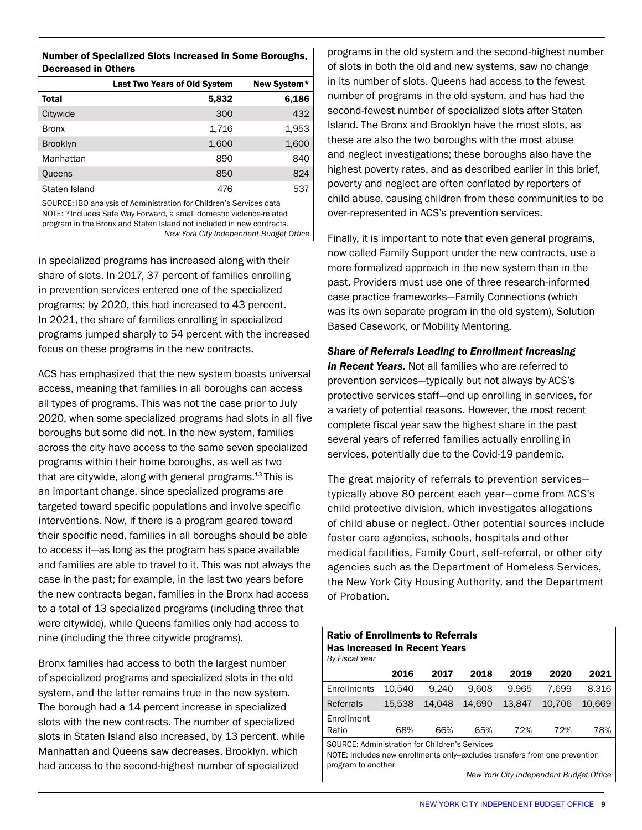| <b>Number of Specialized Slots Increased in Some Boroughs,</b><br><b>Decreased in Others</b>                                                                                                                                                                   |                                                    |       |  |  |  |
|----------------------------------------------------------------------------------------------------------------------------------------------------------------------------------------------------------------------------------------------------------------|----------------------------------------------------|-------|--|--|--|
|                                                                                                                                                                                                                                                                | <b>Last Two Years of Old System</b><br>New System* |       |  |  |  |
| Total                                                                                                                                                                                                                                                          | 5,832                                              | 6,186 |  |  |  |
| Citywide                                                                                                                                                                                                                                                       | 300                                                | 432   |  |  |  |
| <b>Bronx</b>                                                                                                                                                                                                                                                   | 1,716                                              | 1,953 |  |  |  |
| <b>Brooklyn</b>                                                                                                                                                                                                                                                | 1,600                                              | 1,600 |  |  |  |
| Manhattan                                                                                                                                                                                                                                                      | 890                                                | 840   |  |  |  |
| Queens                                                                                                                                                                                                                                                         | 850                                                | 824   |  |  |  |
| Staten Island                                                                                                                                                                                                                                                  | 476                                                | 537   |  |  |  |
| SOURCE: IBO analysis of Administration for Children's Services data<br>NOTE: *Includes Safe Way Forward, a small domestic violence-related<br>program in the Bronx and Staten Island not included in new contracts.<br>New York City Independent Budget Office |                                                    |       |  |  |  |

in specialized programs has increased along with their share of slots. In 2017, 37 percent of families enrolling in prevention services entered one of the specialized programs; by 2020, this had increased to 43 percent. In 2021, the share of families enrolling in specialized programs jumped sharply to 54 percent with the increased focus on these programs in the new contracts.

ACS has emphasized that the new system boasts universal access, meaning that families in all boroughs can access all types of programs. This was not the case prior to July 2020, when some specialized programs had slots in all five boroughs but some did not. In the new system, families across the city have access to the same seven specialized programs within their home boroughs, as well as two that are citywide, along with general programs. $13$  This is an important change, since specialized programs are targeted toward specific populations and involve specific interventions. Now, if there is a program geared toward their specific need, families in all boroughs should be able to access it—as long as the program has space available and families are able to travel to it. This was not always the case in the past; for example, in the last two years before the new contracts began, families in the Bronx had access to a total of 13 specialized programs (including three that were citywide), while Queens families only had access to nine (including the three citywide programs).

Bronx families had access to both the largest number of specialized programs and specialized slots in the old system, and the latter remains true in the new system. The borough had a 14 percent increase in specialized slots with the new contracts. The number of specialized slots in Staten Island also increased, by 13 percent, while Manhattan and Queens saw decreases. Brooklyn, which had access to the second-highest number of specialized

programs in the old system and the second-highest number of slots in both the old and new systems, saw no change in its number of slots. Queens had access to the fewest number of programs in the old system, and has had the second-fewest number of specialized slots after Staten Island. The Bronx and Brooklyn have the most slots, as these are also the two boroughs with the most abuse and neglect investigations; these boroughs also have the highest poverty rates, and as described earlier in this brief, poverty and neglect are often conflated by reporters of child abuse, causing children from these communities to be over-represented in ACS's prevention services.

Finally, it is important to note that even general programs, now called Family Support under the new contracts, use a more formalized approach in the new system than in the past. Providers must use one of three research-informed case practice frameworks—Family Connections (which was its own separate program in the old system), Solution Based Casework, or Mobility Mentoring.

*Share of Referrals Leading to Enrollment Increasing In Recent Years.* Not all families who are referred to prevention services—typically but not always by ACS's protective services staff—end up enrolling in services, for a variety of potential reasons. However, the most recent complete fiscal year saw the highest share in the past several years of referred families actually enrolling in services, potentially due to the Covid-19 pandemic.

The great majority of referrals to prevention services typically above 80 percent each year—come from ACS's child protective division, which investigates allegations of child abuse or neglect. Other potential sources include foster care agencies, schools, hospitals and other medical facilities, Family Court, self-referral, or other city agencies such as the Department of Homeless Services, the New York City Housing Authority, and the Department of Probation.

| <b>Ratio of Enrollments to Referrals</b><br><b>Has Increased in Recent Years</b> |                    |        |        |        |        |        |  |  |
|----------------------------------------------------------------------------------|--------------------|--------|--------|--------|--------|--------|--|--|
| By Fiscal Year                                                                   |                    |        |        |        |        |        |  |  |
|                                                                                  | 2016               | 2017   | 2018   | 2019   | 2020   | 2021   |  |  |
| Enrollments                                                                      | 10.540             | 9.240  | 9.608  | 9.965  | 7.699  | 8.316  |  |  |
| Referrals                                                                        | 15.538             | 14.048 | 14.690 | 13.847 | 10.706 | 10.669 |  |  |
| Enrollment                                                                       |                    |        |        |        |        |        |  |  |
| Ratio                                                                            | 68%                | 66%    | 65%    | 72%    | 72%    | 78%    |  |  |
| SOURCE: Administration for Children's Services                                   |                    |        |        |        |        |        |  |  |
| NOTE: Includes new enrollments only-excludes transfers from one prevention       |                    |        |        |        |        |        |  |  |
|                                                                                  | program to another |        |        |        |        |        |  |  |
| New York City Independent Budget Office                                          |                    |        |        |        |        |        |  |  |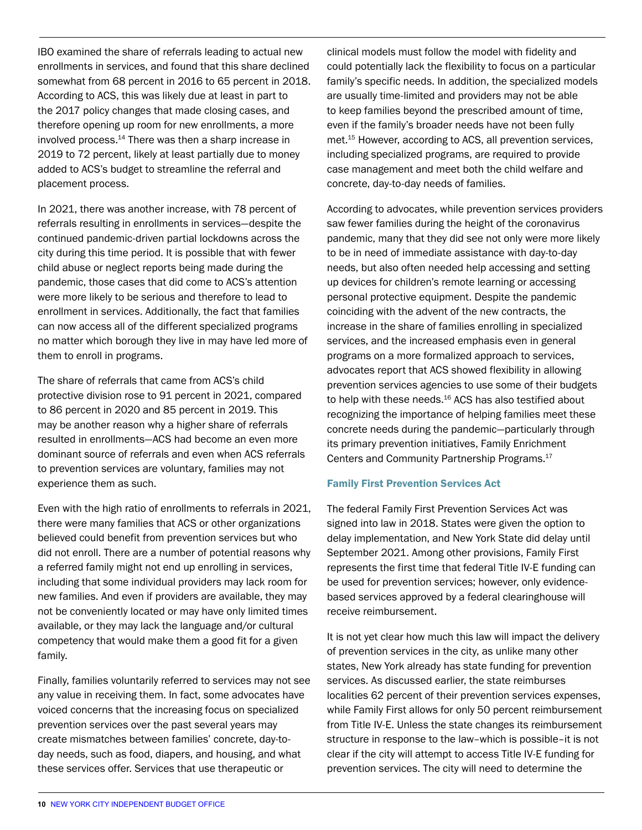IBO examined the share of referrals leading to actual new enrollments in services, and found that this share declined somewhat from 68 percent in 2016 to 65 percent in 2018. According to ACS, this was likely due at least in part to the 2017 policy changes that made closing cases, and therefore opening up room for new enrollments, a more involved process.<sup>14</sup> There was then a sharp increase in 2019 to 72 percent, likely at least partially due to money added to ACS's budget to streamline the referral and placement process.

In 2021, there was another increase, with 78 percent of referrals resulting in enrollments in services—despite the continued pandemic-driven partial lockdowns across the city during this time period. It is possible that with fewer child abuse or neglect reports being made during the pandemic, those cases that did come to ACS's attention were more likely to be serious and therefore to lead to enrollment in services. Additionally, the fact that families can now access all of the different specialized programs no matter which borough they live in may have led more of them to enroll in programs.

The share of referrals that came from ACS's child protective division rose to 91 percent in 2021, compared to 86 percent in 2020 and 85 percent in 2019. This may be another reason why a higher share of referrals resulted in enrollments—ACS had become an even more dominant source of referrals and even when ACS referrals to prevention services are voluntary, families may not experience them as such.

Even with the high ratio of enrollments to referrals in 2021, there were many families that ACS or other organizations believed could benefit from prevention services but who did not enroll. There are a number of potential reasons why a referred family might not end up enrolling in services, including that some individual providers may lack room for new families. And even if providers are available, they may not be conveniently located or may have only limited times available, or they may lack the language and/or cultural competency that would make them a good fit for a given family.

Finally, families voluntarily referred to services may not see any value in receiving them. In fact, some advocates have voiced concerns that the increasing focus on specialized prevention services over the past several years may create mismatches between families' concrete, day-today needs, such as food, diapers, and housing, and what these services offer. Services that use therapeutic or

clinical models must follow the model with fidelity and could potentially lack the flexibility to focus on a particular family's specific needs. In addition, the specialized models are usually time-limited and providers may not be able to keep families beyond the prescribed amount of time, even if the family's broader needs have not been fully met.15 However, according to ACS, all prevention services, including specialized programs, are required to provide case management and meet both the child welfare and concrete, day-to-day needs of families.

According to advocates, while prevention services providers saw fewer families during the height of the coronavirus pandemic, many that they did see not only were more likely to be in need of immediate assistance with day-to-day needs, but also often needed help accessing and setting up devices for children's remote learning or accessing personal protective equipment. Despite the pandemic coinciding with the advent of the new contracts, the increase in the share of families enrolling in specialized services, and the increased emphasis even in general programs on a more formalized approach to services, advocates report that ACS showed flexibility in allowing prevention services agencies to use some of their budgets to help with these needs.<sup>16</sup> ACS has also testified about recognizing the importance of helping families meet these concrete needs during the pandemic—particularly through its primary prevention initiatives, Family Enrichment Centers and Community Partnership Programs.17

## Family First Prevention Services Act

The federal Family First Prevention Services Act was signed into law in 2018. States were given the option to delay implementation, and New York State did delay until September 2021. Among other provisions, Family First represents the first time that federal Title IV-E funding can be used for prevention services; however, only evidencebased services approved by a federal clearinghouse will receive reimbursement.

It is not yet clear how much this law will impact the delivery of prevention services in the city, as unlike many other states, New York already has state funding for prevention services. As discussed earlier, the state reimburses localities 62 percent of their prevention services expenses, while Family First allows for only 50 percent reimbursement from Title IV-E. Unless the state changes its reimbursement structure in response to the law–which is possible–it is not clear if the city will attempt to access Title IV-E funding for prevention services. The city will need to determine the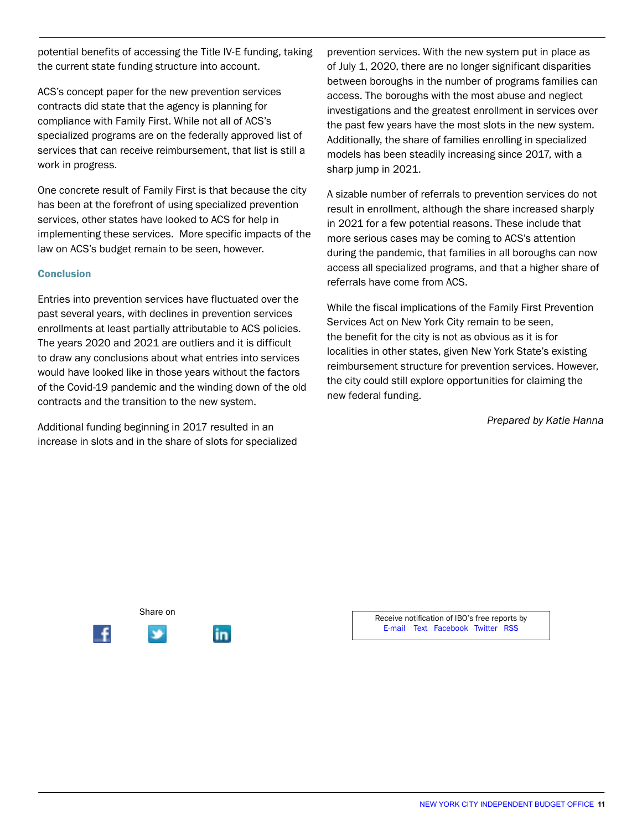potential benefits of accessing the Title IV-E funding, taking the current state funding structure into account.

ACS's concept paper for the new prevention services contracts did state that the agency is planning for compliance with Family First. While not all of ACS's specialized programs are on the federally approved list of services that can receive reimbursement, that list is still a work in progress.

One concrete result of Family First is that because the city has been at the forefront of using specialized prevention services, other states have looked to ACS for help in implementing these services. More specific impacts of the law on ACS's budget remain to be seen, however.

### **Conclusion**

Entries into prevention services have fluctuated over the past several years, with declines in prevention services enrollments at least partially attributable to ACS policies. The years 2020 and 2021 are outliers and it is difficult to draw any conclusions about what entries into services would have looked like in those years without the factors of the Covid-19 pandemic and the winding down of the old contracts and the transition to the new system.

Additional funding beginning in 2017 resulted in an increase in slots and in the share of slots for specialized

prevention services. With the new system put in place as of July 1, 2020, there are no longer significant disparities between boroughs in the number of programs families can access. The boroughs with the most abuse and neglect investigations and the greatest enrollment in services over the past few years have the most slots in the new system. Additionally, the share of families enrolling in specialized models has been steadily increasing since 2017, with a sharp jump in 2021.

A sizable number of referrals to prevention services do not result in enrollment, although the share increased sharply in 2021 for a few potential reasons. These include that more serious cases may be coming to ACS's attention during the pandemic, that families in all boroughs can now access all specialized programs, and that a higher share of referrals have come from ACS.

While the fiscal implications of the Family First Prevention Services Act on New York City remain to be seen, the benefit for the city is not as obvious as it is for localities in other states, given New York State's existing reimbursement structure for prevention services. However, the city could still explore opportunities for claiming the new federal funding.

*Prepared by Katie Hanna*



Receive notification of IBO's free reports by [E-mail](http://bit.ly/subscribeIBO) [Text](http://bit.ly/1BZvxo5) [Facebook](https://www.facebook.com/NYCIBO) [Twitter](https://twitter.com/nycibo) [RSS](http://www.ibo.nyc.ny.us/iborss.xml)